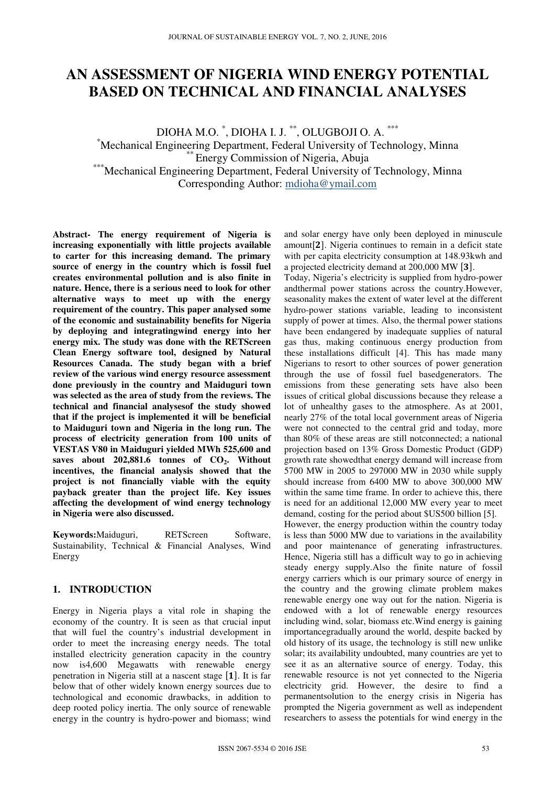# **AN ASSESSMENT OF NIGERIA WIND ENERGY POTENTIAL BASED ON TECHNICAL AND FINANCIAL ANALYSES**

DIOHA M.O. \* , DIOHA I. J. \*\*, OLUGBOJI O. A. \*\*\* \*Mechanical Engineering Department, Federal University of Technology, Minna \*\* Energy Commission of Nigeria, Abuja \*\*\*Mechanical Engineering Department, Federal University of Technology, Minna Corresponding Author: mdioha@ymail.com

**Abstract- The energy requirement of Nigeria is increasing exponentially with little projects available to carter for this increasing demand. The primary source of energy in the country which is fossil fuel creates environmental pollution and is also finite in nature. Hence, there is a serious need to look for other alternative ways to meet up with the energy requirement of the country. This paper analysed some of the economic and sustainability benefits for Nigeria by deploying and integratingwind energy into her energy mix. The study was done with the RETScreen Clean Energy software tool, designed by Natural Resources Canada. The study began with a brief review of the various wind energy resource assessment done previously in the country and Maiduguri town was selected as the area of study from the reviews. The technical and financial analysesof the study showed that if the project is implemented it will be beneficial to Maiduguri town and Nigeria in the long run. The process of electricity generation from 100 units of VESTAS V80 in Maiduguri yielded MWh 525,600 and saves about 202,881.6 tonnes of CO2. Without incentives, the financial analysis showed that the project is not financially viable with the equity payback greater than the project life. Key issues affecting the development of wind energy technology in Nigeria were also discussed.** 

**Keywords:**Maiduguri, RETScreen Software, Sustainability, Technical & Financial Analyses, Wind Energy

# **1. INTRODUCTION**

Energy in Nigeria plays a vital role in shaping the economy of the country. It is seen as that crucial input that will fuel the country's industrial development in order to meet the increasing energy needs. The total installed electricity generation capacity in the country now is4,600 Megawatts with renewable energy penetration in Nigeria still at a nascent stage  $[1]$ . It is far below that of other widely known energy sources due to technological and economic drawbacks, in addition to deep rooted policy inertia. The only source of renewable energy in the country is hydro-power and biomass; wind

and solar energy have only been deployed in minuscule amount<sup>[2]</sup>. Nigeria continues to remain in a deficit state with per capita electricity consumption at 148.93kwh and a projected electricity demand at 200,000 MW [3].

Today, Nigeria's electricity is supplied from hydro-power andthermal power stations across the country.However, seasonality makes the extent of water level at the different hydro-power stations variable, leading to inconsistent supply of power at times. Also, the thermal power stations have been endangered by inadequate supplies of natural gas thus, making continuous energy production from these installations difficult [4]. This has made many Nigerians to resort to other sources of power generation through the use of fossil fuel basedgenerators. The emissions from these generating sets have also been issues of critical global discussions because they release a lot of unhealthy gases to the atmosphere. As at 2001, nearly 27% of the total local government areas of Nigeria were not connected to the central grid and today, more than 80% of these areas are still notconnected; a national projection based on 13% Gross Domestic Product (GDP) growth rate showedthat energy demand will increase from 5700 MW in 2005 to 297000 MW in 2030 while supply should increase from 6400 MW to above 300,000 MW within the same time frame. In order to achieve this, there is need for an additional 12,000 MW every year to meet demand, costing for the period about \$US500 billion [5]. However, the energy production within the country today is less than 5000 MW due to variations in the availability and poor maintenance of generating infrastructures. Hence, Nigeria still has a difficult way to go in achieving steady energy supply.Also the finite nature of fossil energy carriers which is our primary source of energy in the country and the growing climate problem makes renewable energy one way out for the nation. Nigeria is endowed with a lot of renewable energy resources including wind, solar, biomass etc.Wind energy is gaining importancegradually around the world, despite backed by old history of its usage, the technology is still new unlike solar; its availability undoubted, many countries are yet to see it as an alternative source of energy. Today, this renewable resource is not yet connected to the Nigeria electricity grid. However, the desire to find a permanentsolution to the energy crisis in Nigeria has prompted the Nigeria government as well as independent researchers to assess the potentials for wind energy in the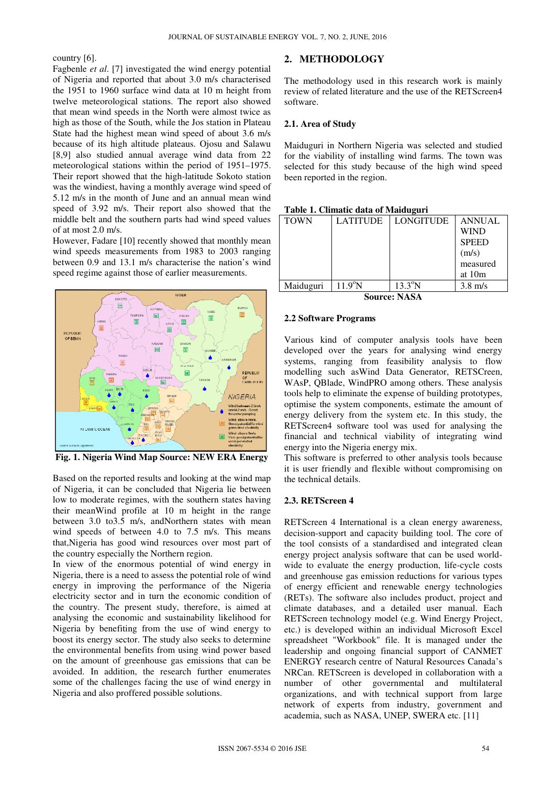country [6].

Fagbenle *et al*. [7] investigated the wind energy potential of Nigeria and reported that about 3.0 m/s characterised the 1951 to 1960 surface wind data at 10 m height from twelve meteorological stations. The report also showed that mean wind speeds in the North were almost twice as high as those of the South, while the Jos station in Plateau State had the highest mean wind speed of about 3.6 m/s because of its high altitude plateaus. Ojosu and Salawu because of its high altitude plateaus. Ojosu and Salawu [8,9] also studied annual average wind data from 22 meteorological stations within the period of 1951–1975. Their report showed that the high-latitude Sokoto station was the windiest, having a monthly average wind speed of 5.12 m/s in the month of June and an annual mean wind speed of 3.92 m/s. Their report also showed that the middle belt and the southern parts had wind speed values of at most 2.0 m/s. ] investigated the wind energy potential<br>ported that about 3.0 m/s characterised<br>surface wind data at 10 m height from<br>gical stations. The report also showed

However, Fadare [10] recently showed that monthly mean wind speeds measurements from 1983 to 2003 ranging between 0.9 and 13.1 m/s characterise the nation's wind speed regime against those of earlier measurements.



**Fig. 1. Nigeria Wind Map Source: NEW ERA Energy**

Based on the reported results and looking at the wind map of Nigeria, it can be concluded that Nigeria lie between low to moderate regimes, with the southern states having their meanWind profile at 10 m height in the range between 3.0 to 3.5 m/s, andNorthern states with mean wind speeds of between 4.0 to 7.5 m/s. This means that,Nigeria has good wind resources over most part of the country especially the Northern region.

In view of the enormous potential of wind energy in Nigeria, there is a need to assess the potential role of wind energy in improving the performance of the Nigeria electricity sector and in turn the economic condition of the country. The present study, therefore, is aimed at analysing the economic and sustainability likelihood for Nigeria by benefiting from the use of wind energy to boost its energy sector. The study also seeks to determine the environmental benefits from using wind power based on the amount of greenhouse gas emissions that can be avoided. In addition, the research further enumerates some of the challenges facing the use of wind energy in Nigeria and also proffered possible solutions.

The methodology used in this research work is mainly review of related literature and the use of the RETScreen4 software.

#### **2.1. Area of Study**

Maiduguri in Northern Nigeria was selected and studied for the viability of installing wind farms. The town was selected for this study because of the high wind speed been reported in the region.

#### **Table 1. Climatic data of Maiduguri**

| <b>TOWN</b>    | <b>LATITUDE</b>  | <b>LONGITUDE</b> | <b>ANNUAL</b> |  |
|----------------|------------------|------------------|---------------|--|
|                |                  |                  | <b>WIND</b>   |  |
|                |                  |                  | <b>SPEED</b>  |  |
|                |                  |                  | (m/s)         |  |
|                |                  |                  | measured      |  |
|                |                  |                  | at $10m$      |  |
| Maiduguri      | $11.9^{\circ}$ N | $13.3^\circ N$   | $3.8$ m/s     |  |
| $\sim$<br>---- |                  |                  |               |  |

**Source: NASA**

#### **2.2 Software Programs**

Various kind of computer analysis tools have been developed over the years for analysing wind energy systems, ranging from feasibility analysis to flow systems, ranging from feasibility analysis to flow<br>modelling such asWind Data Generator, RETSCreen, WAsP, QBlade, WindPRO among others. These analysis tools help to eliminate the expense of building prototypes, optimise the system components, estimate the amount of energy delivery from the system etc. In this study, the RETScreen4 software tool was used for analysing the financial and technical viability of integrating wind energy into the Nigeria energy mix. y stem components, estimate the amount of<br>y from the system etc. In this study, the<br>oftware tool was used for analysing the

This software is preferred to other analysis tools because it is user friendly and flexible without compromising on the technical details.

#### **2.3. RETScreen 4**

ation denetry potential<br>
2. **METHODOLOGY**<br>
2. **CONECT THE CONECT TREFF (TEP)**<br>
and a at 10 m height from review of related literature were almost twise and solity of related literature were almost twise and salaw and the RETScreen 4 International is a clean energy awareness, decision-support and capacity building tool. The core of the tool consists of a standardised and integrated clean energy project analysis software that can be used world wide to evaluate the energy production, life-cycle costs and greenhouse gas emission reductions for various types of energy efficient and renewable energy technologies (RETs). The software also includes product, project and climate databases, and a detailed user manual. Each RETScreen technology model (e.g. Wind Energy Project, etc.) is developed within an individual Microsoft Excel spreadsheet "Workbook" file. It is managed under the leadership and ongoing financial support of CANMET ENERGY research centre of Natural Resources Canada's NRCan. RETScreen is developed in collaboration with a number of other governmental and multilateral organizations, and with technical support from large network of experts from industry, government and NRCan. RETScreen is developed in collaboration v<br>number of other governmental and multil<br>organizations, and with technical support from<br>network of experts from industry, government<br>academia, such as NASA, UNEP, SWERA etc. ware is preferred to other analysis tools because<br>friendly and flexible without compromising on<br>ical details.<br>**Screen 4**<br>en 4 International is a clean energy awareness,<br>support and capacity building tool. The core of<br>consi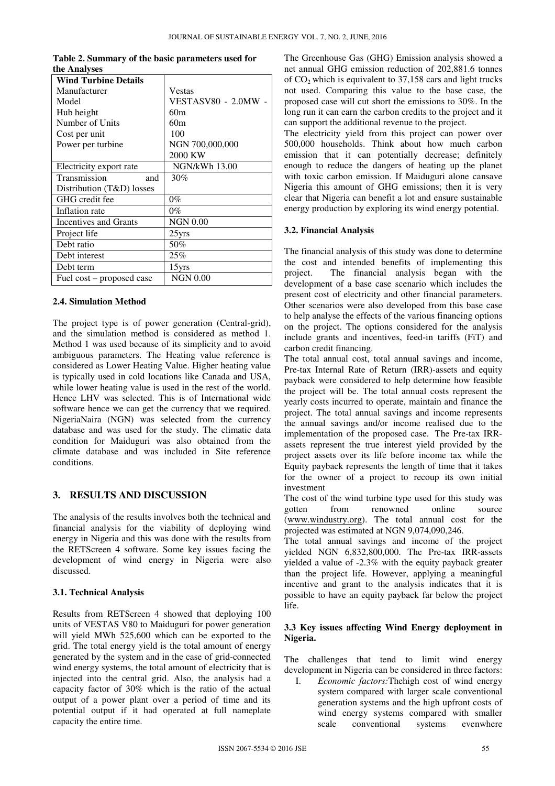|              | Table 2. Summary of the basic parameters used for |
|--------------|---------------------------------------------------|
| the Analyses |                                                   |

| <b>Wind Turbine Details</b> |                      |
|-----------------------------|----------------------|
| Manufacturer                | Vestas               |
| Model                       | VESTASV80 - 2.0MW    |
| Hub height                  | 60m                  |
| Number of Units             | 60m                  |
| Cost per unit               | 100                  |
| Power per turbine           | NGN 700,000,000      |
|                             | 2000 KW              |
| Electricity export rate     | <b>NGN/kWh 13.00</b> |
| Transmission<br>and         | 30%                  |
| Distribution (T&D) losses   |                      |
| GHG credit fee              | $0\%$                |
| Inflation rate              | 0%                   |
| Incentives and Grants       | <b>NGN 0.00</b>      |
| Project life                | $25$ yrs             |
| Debt ratio                  | 50%                  |
| Debt interest               | 25%                  |
| Debt term                   | 15yrs                |
| Fuel cost – proposed case   | <b>NGN 0.00</b>      |

# **2.4. Simulation Method**

The project type is of power generation (Central-grid), and the simulation method is considered as method 1. Method 1 was used because of its simplicity and to avoid ambiguous parameters. The Heating value reference is considered as Lower Heating Value. Higher heating value is typically used in cold locations like Canada and USA, while lower heating value is used in the rest of the world. Hence LHV was selected. This is of International wide software hence we can get the currency that we required. NigeriaNaira (NGN) was selected from the currency database and was used for the study. The climatic data condition for Maiduguri was also obtained from the climate database and was included in Site reference conditions.

# **3. RESULTS AND DISCUSSION**

The analysis of the results involves both the technical and financial analysis for the viability of deploying wind energy in Nigeria and this was done with the results from the RETScreen 4 software. Some key issues facing the development of wind energy in Nigeria were also discussed.

# **3.1. Technical Analysis**

Results from RETScreen 4 showed that deploying 100 units of VESTAS V80 to Maiduguri for power generation will yield MWh 525,600 which can be exported to the grid. The total energy yield is the total amount of energy generated by the system and in the case of grid-connected wind energy systems, the total amount of electricity that is injected into the central grid. Also, the analysis had a capacity factor of 30% which is the ratio of the actual output of a power plant over a period of time and its potential output if it had operated at full nameplate capacity the entire time.

The Greenhouse Gas (GHG) Emission analysis showed a net annual GHG emission reduction of 202,881.6 tonnes of  $CO<sub>2</sub>$  which is equivalent to 37,158 cars and light trucks not used. Comparing this value to the base case, the proposed case will cut short the emissions to 30%. In the long run it can earn the carbon credits to the project and it can support the additional revenue to the project.

The electricity yield from this project can power over 500,000 households. Think about how much carbon emission that it can potentially decrease; definitely enough to reduce the dangers of heating up the planet with toxic carbon emission. If Maiduguri alone cansave Nigeria this amount of GHG emissions; then it is very clear that Nigeria can benefit a lot and ensure sustainable energy production by exploring its wind energy potential.

# **3.2. Financial Analysis**

The financial analysis of this study was done to determine the cost and intended benefits of implementing this project. The financial analysis began with the development of a base case scenario which includes the present cost of electricity and other financial parameters. Other scenarios were also developed from this base case to help analyse the effects of the various financing options on the project. The options considered for the analysis include grants and incentives, feed-in tariffs (FiT) and carbon credit financing.

The total annual cost, total annual savings and income, Pre-tax Internal Rate of Return (IRR)-assets and equity payback were considered to help determine how feasible the project will be. The total annual costs represent the yearly costs incurred to operate, maintain and finance the project. The total annual savings and income represents the annual savings and/or income realised due to the implementation of the proposed case. The Pre-tax IRRassets represent the true interest yield provided by the project assets over its life before income tax while the Equity payback represents the length of time that it takes for the owner of a project to recoup its own initial investment

The cost of the wind turbine type used for this study was gotten from renowned online source (www.windustry.org). The total annual cost for the projected was estimated at NGN 9,074,090,246.

The total annual savings and income of the project yielded NGN 6,832,800,000. The Pre-tax IRR-assets yielded a value of -2.3% with the equity payback greater than the project life. However, applying a meaningful incentive and grant to the analysis indicates that it is possible to have an equity payback far below the project life.

# **3.3 Key issues affecting Wind Energy deployment in Nigeria.**

The challenges that tend to limit wind energy development in Nigeria can be considered in three factors:

I. *Economic factors:*Thehigh cost of wind energy system compared with larger scale conventional generation systems and the high upfront costs of wind energy systems compared with smaller scale conventional systems evenwhere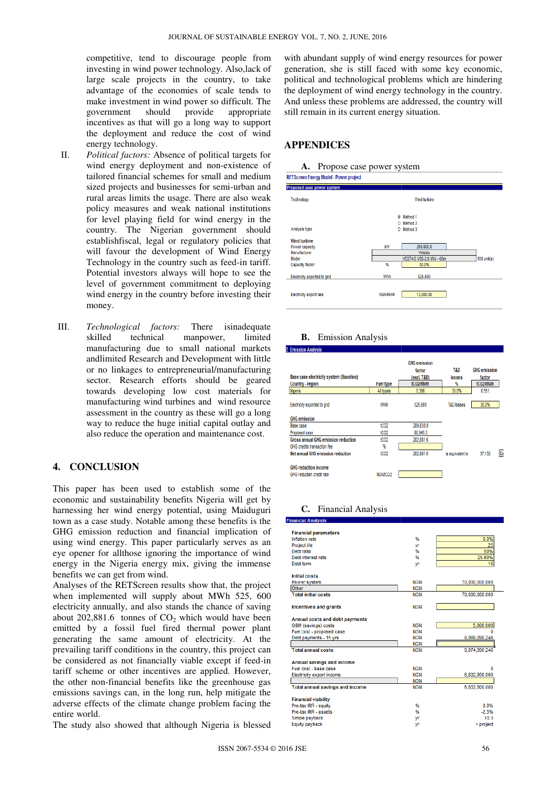competitive, tend to discourage people from investing in wind power technology. Also,lack of large scale projects in the country, to take advantage of the economies of scale tends to make investment in wind power so difficult. The government should provide appropriate incentives as that will go a long way to support the deployment and reduce the cost of wind energy technology.

- II. *Political factors:* Absence of political targets for wind energy deployment and non-existence of tailored financial schemes for small and medium sized projects and businesses for semi-urban and rural areas limits the usage. There are also weak policy measures and weak national institutions for level playing field for wind energy in the country. The Nigerian government should establishfiscal, legal or regulatory policies that will favour the development of Wind Ene Energy Technology in the country such as feed-in tariff. Potential investors always will hope to see the level of government commitment to deploying wind energy in the country before investing their money.
- III. *Technological factors:* skilled technical manpower, limited manufacturing due to small national markets andlimited Research and Development or no linkages to entrepreneurial/manufacturing sector. Research efforts should be geared towards developing low cost materials for manufacturing wind turbines and wind resource assessment in the country as these will go a long way to reduce the huge initial capital outlay and also reduce the operation and maintenance cost. There isinadequate incometrical manpower, limited<br>g due to small national markets<br>esearch and Development with little

# **4. CONCLUSION**

This paper has been used to establish some of the economic and sustainability benefits Nigeria will get by harnessing her wind energy potential, using Maiduguri town as a case study. Notable among these benefits is the GHG emission reduction and financial implication of using wind energy. This paper particularly serves as an eye opener for allthose ignoring the importance of wind energy in the Nigeria energy mix, giving the immense benefits we can get from wind. kages to entrepreneurial/manufacturing<br>Research efforts should be geared<br>developing low cost materials for<br>uring wind turbines and wind resource<br>nt in the country as these will go a long<br>duce the huge initial capital outla

Analyses of the RETScreen results show that, the project when implemented will supply about MWh 525, 600 electricity annually, and also stands the chance of saving about 202,881.6 tonnes of  $CO<sub>2</sub>$  which would have been emitted by a fossil fuel fired thermal power plant generating the same amount of electricity. At the prevailing tariff conditions in the country, this project can be considered as not financially viable except if feed-in tariff scheme or other incentives are applied. However, the other non-financial benefits like the greenhouse gas emissions savings can, in the long run, help mitigate the adverse effects of the climate change problem facing the entire world.

The study also showed that although Nigeria is blessed

# **APPENDICES**



| ווערו סטוטטוו בווטרער וווטעטר - ו עזרטו וווטוטטנ<br>Proposed case power system |                                          |  |
|--------------------------------------------------------------------------------|------------------------------------------|--|
| Technology                                                                     | Wind turbine                             |  |
|                                                                                | ۵<br>Method 1                            |  |
|                                                                                | Method <sub>2</sub><br>O.                |  |
| Analysis type                                                                  | Method 3<br>٥                            |  |
| <b>Wind turbine</b>                                                            |                                          |  |
| Power capacity                                                                 | KW<br>200.000.0                          |  |
| Manufacturer                                                                   | <b>Vestas</b>                            |  |
| Model                                                                          | VESTAS V80-2.0 MW - 60m<br>$100$ unit(s) |  |
| Capacity factor                                                                | $\frac{9}{6}$<br>30.0%                   |  |
| Electricity exported to grid                                                   | <b>MWh</b><br>525,600                    |  |
|                                                                                |                                          |  |
| Electricity export rate                                                        | 13,000.00<br><b>NGN/MWh</b>              |  |
|                                                                                |                                          |  |

#### **B.** Emission Analysis

| Base case electricity system (Baseline)             |                  | <b>GHG emission</b><br>factor<br>(excl. T&D) | T&D<br>losses         | <b>GHG emission</b><br>factor |  |
|-----------------------------------------------------|------------------|----------------------------------------------|-----------------------|-------------------------------|--|
| Country - region                                    | <b>Fuel type</b> | tCO2/MWh                                     | ₩                     | tCO2/MWh                      |  |
| Nigeria                                             | All types        |                                              | 30.0%                 | 0.551                         |  |
| Electricity exported to grid<br><b>GHG emission</b> | MWh              | 525,600                                      | <b>T&amp;D</b> losses | 30.0%                         |  |
| Base case                                           | tCO <sub>2</sub> | 289,830.9                                    |                       |                               |  |
| Proposed case                                       | tCO <sub>2</sub> | 86,949.3                                     |                       |                               |  |
| <b>Gross annual GHG emission reduction</b>          | tCO <sub>2</sub> | 202.881.6                                    |                       |                               |  |
| GHG credits transaction fee                         | %                |                                              |                       |                               |  |
| Net annual GHG emission reduction                   | tCO <sub>2</sub> | 202,881.6                                    | is equivalent to      | Ca<br>37.158                  |  |
| <b>GHG</b> reduction income                         |                  |                                              |                       |                               |  |
| GHG reduction credit rate                           | NGN/tCO2         |                                              |                       |                               |  |

#### **C.** Financial Analysis

| etitive, tend to discourage people from<br>ing in wind power technology. Also, lack of<br>scale projects in the country, to take<br>tage of the economies of scale tends to<br>investment in wind power so difficult. The<br>provide<br>nment<br>should<br>appropriate<br>ives as that will go a long way to support<br>eployment and reduce the cost of wind<br>y technology.<br>cal factors: Absence of political targets for<br>energy deployment and non-existence of<br>ed financial schemes for small and medium | with abundant supply of wind energy resources for power<br>generation, she is still faced with some key economic,<br>political and technological problems which are hindering<br>the deployment of wind energy technology in the country.<br>And unless these problems are addressed, the country will<br>still remain in its current energy situation.<br><b>APPENDICES</b><br>A. Propose case power system<br><b>RETScreen Energy Model - Power project</b> |                                                                                                                                       |                                                                                                                                 |                                                                          |                                                                       |    |
|------------------------------------------------------------------------------------------------------------------------------------------------------------------------------------------------------------------------------------------------------------------------------------------------------------------------------------------------------------------------------------------------------------------------------------------------------------------------------------------------------------------------|---------------------------------------------------------------------------------------------------------------------------------------------------------------------------------------------------------------------------------------------------------------------------------------------------------------------------------------------------------------------------------------------------------------------------------------------------------------|---------------------------------------------------------------------------------------------------------------------------------------|---------------------------------------------------------------------------------------------------------------------------------|--------------------------------------------------------------------------|-----------------------------------------------------------------------|----|
| projects and businesses for semi-urban and                                                                                                                                                                                                                                                                                                                                                                                                                                                                             | Proposed case power system                                                                                                                                                                                                                                                                                                                                                                                                                                    |                                                                                                                                       |                                                                                                                                 |                                                                          |                                                                       |    |
| areas limits the usage. There are also weak<br>measures and weak national institutions                                                                                                                                                                                                                                                                                                                                                                                                                                 | Technology                                                                                                                                                                                                                                                                                                                                                                                                                                                    |                                                                                                                                       | Wind turbine                                                                                                                    |                                                                          |                                                                       |    |
| vel playing field for wind energy in the                                                                                                                                                                                                                                                                                                                                                                                                                                                                               |                                                                                                                                                                                                                                                                                                                                                                                                                                                               |                                                                                                                                       | <b>O</b> Method 1<br>O Method 2                                                                                                 |                                                                          |                                                                       |    |
| ry. The Nigerian government should                                                                                                                                                                                                                                                                                                                                                                                                                                                                                     | Analysis type                                                                                                                                                                                                                                                                                                                                                                                                                                                 |                                                                                                                                       | O Method 3                                                                                                                      |                                                                          |                                                                       |    |
| ishfiscal, legal or regulatory policies that                                                                                                                                                                                                                                                                                                                                                                                                                                                                           | <b>Wind turbine</b><br>Power capacity                                                                                                                                                                                                                                                                                                                                                                                                                         | kW                                                                                                                                    | 200,000.0                                                                                                                       |                                                                          |                                                                       |    |
| avour the development of Wind Energy                                                                                                                                                                                                                                                                                                                                                                                                                                                                                   | Manufacturer                                                                                                                                                                                                                                                                                                                                                                                                                                                  |                                                                                                                                       | Vestas                                                                                                                          |                                                                          |                                                                       |    |
| ology in the country such as feed-in tariff.                                                                                                                                                                                                                                                                                                                                                                                                                                                                           | Model<br>Capacity factor                                                                                                                                                                                                                                                                                                                                                                                                                                      | %                                                                                                                                     | <b>VESTAS V80-2.0 MW - 60m</b><br>30.0%                                                                                         |                                                                          | 100 unit(s)                                                           |    |
| tial investors always will hope to see the                                                                                                                                                                                                                                                                                                                                                                                                                                                                             | Electricity exported to grid                                                                                                                                                                                                                                                                                                                                                                                                                                  | <b>MWh</b>                                                                                                                            | 525,600                                                                                                                         |                                                                          |                                                                       |    |
| of government commitment to deploying<br>energy in the country before investing their                                                                                                                                                                                                                                                                                                                                                                                                                                  | Electricity export rate                                                                                                                                                                                                                                                                                                                                                                                                                                       | <b>NGN/MWh</b>                                                                                                                        | 13,000.00                                                                                                                       |                                                                          |                                                                       |    |
| nited Research and Development with little<br>linkages to entrepreneurial/manufacturing<br>. Research efforts should be geared<br>ds developing low cost materials for<br>facturing wind turbines and wind resource<br>ment in the country as these will go a long<br>o reduce the huge initial capital outlay and<br>educe the operation and maintenance cost.<br>USION                                                                                                                                               | Base case electricity system (Baseline)<br><b>Country - region</b><br>Nigeria<br>Electricity exported to grid<br><b>GHG</b> emission<br>Base case<br>Proposed case<br><b>Gross annual GHG emission reduction</b><br>GHG credits transaction fee<br><b>Net annual GHG emission reduction</b><br><b>GHG reduction income</b><br>GHG reduction credit rate                                                                                                       | <b>Fuel type</b><br>All types<br>MWh<br>tCO <sub>2</sub><br>tCO <sub>2</sub><br>tCO <sub>2</sub><br>%<br>tCO <sub>2</sub><br>NGN/tCO2 | <b>GHG emission</b><br>factor<br>(excl. T&D)<br>tCO2/MWh<br>0.386<br>525,600<br>289.830.9<br>86,949.3<br>202,881.6<br>202,881.6 | T&D<br>losses<br>₩<br>30.0%<br><b>T&amp;D</b> losses<br>is equivalent to | <b>GHG</b> emission<br>factor<br>tCO2/MWh<br>0.551<br>30.0%<br>37,158 | Ca |
| as been used to establish some of the<br>sustainability benefits Nigeria will get by<br>wind energy potential, using Maiduguri<br>study. Notable among these benefits is the<br>n reduction and financial implication of<br>ergy. This paper particularly serves as an<br>allthose ignoring the importance of wind                                                                                                                                                                                                     | C. Financial Analysis<br><b>Financial Analysis</b><br><b>Financial parameters</b><br>Inflation rate<br>Project life<br>Debt ratio<br>Debt interest rate                                                                                                                                                                                                                                                                                                       |                                                                                                                                       | %<br>уr<br>%<br>%                                                                                                               |                                                                          | 0.0%<br>25<br>50%<br>25.00%                                           |    |
| Nigeria energy mix, giving the immense<br>n get from wind.                                                                                                                                                                                                                                                                                                                                                                                                                                                             | Debt term<br><b>Initial costs</b><br>Power system                                                                                                                                                                                                                                                                                                                                                                                                             |                                                                                                                                       | уr<br><b>NGN</b>                                                                                                                |                                                                          | 15<br>70,000,000,000                                                  |    |
| e RETScreen results show that, the project                                                                                                                                                                                                                                                                                                                                                                                                                                                                             | Other<br><b>Total initial costs</b>                                                                                                                                                                                                                                                                                                                                                                                                                           |                                                                                                                                       | <b>NGN</b><br><b>NGN</b>                                                                                                        |                                                                          | 70,000,000,000                                                        |    |
| ented will supply about MWh 525, 600                                                                                                                                                                                                                                                                                                                                                                                                                                                                                   |                                                                                                                                                                                                                                                                                                                                                                                                                                                               |                                                                                                                                       |                                                                                                                                 |                                                                          |                                                                       |    |
| ually, and also stands the chance of saving<br>6 tonnes of $CO2$ which would have been                                                                                                                                                                                                                                                                                                                                                                                                                                 | <b>Incentives and grants</b><br>Annual costs and debt payments<br>O&M (savings) costs                                                                                                                                                                                                                                                                                                                                                                         |                                                                                                                                       | <b>NGN</b><br><b>NGN</b>                                                                                                        |                                                                          | 5,000,000                                                             |    |
| fossil fuel fired thermal power plant                                                                                                                                                                                                                                                                                                                                                                                                                                                                                  | Fuel cost - proposed case                                                                                                                                                                                                                                                                                                                                                                                                                                     |                                                                                                                                       | <b>NGN</b>                                                                                                                      |                                                                          |                                                                       |    |
| e same amount of electricity. At the                                                                                                                                                                                                                                                                                                                                                                                                                                                                                   | Debt payments - 15 yrs                                                                                                                                                                                                                                                                                                                                                                                                                                        |                                                                                                                                       | NGN<br><b>NGN</b>                                                                                                               |                                                                          | 9,069,090,246                                                         |    |
| f conditions in the country, this project can                                                                                                                                                                                                                                                                                                                                                                                                                                                                          | <b>Total annual costs</b>                                                                                                                                                                                                                                                                                                                                                                                                                                     |                                                                                                                                       | <b>NGN</b>                                                                                                                      |                                                                          | 9,074,090,246                                                         |    |
| as not financially viable except if feed-in                                                                                                                                                                                                                                                                                                                                                                                                                                                                            | Annual savings and income                                                                                                                                                                                                                                                                                                                                                                                                                                     |                                                                                                                                       |                                                                                                                                 |                                                                          |                                                                       |    |
| or other incentives are applied. However,                                                                                                                                                                                                                                                                                                                                                                                                                                                                              | Fuel cost - base case<br>Electricity export income                                                                                                                                                                                                                                                                                                                                                                                                            |                                                                                                                                       | <b>NGN</b><br><b>NGN</b>                                                                                                        |                                                                          | 0<br>6,832,800,000                                                    |    |
| financial benefits like the greenhouse gas                                                                                                                                                                                                                                                                                                                                                                                                                                                                             |                                                                                                                                                                                                                                                                                                                                                                                                                                                               |                                                                                                                                       | <b>NGN</b>                                                                                                                      |                                                                          |                                                                       |    |
| ngs can, in the long run, help mitigate the<br>of the climate change problem facing the                                                                                                                                                                                                                                                                                                                                                                                                                                | <b>Total annual savings and income</b><br><b>Financial viability</b><br>Pre-tax IRR - equity                                                                                                                                                                                                                                                                                                                                                                  |                                                                                                                                       | <b>NGN</b><br>%                                                                                                                 |                                                                          | 6,832,800,000<br>0.0%                                                 |    |
|                                                                                                                                                                                                                                                                                                                                                                                                                                                                                                                        | Pre-tax IRR - assets                                                                                                                                                                                                                                                                                                                                                                                                                                          |                                                                                                                                       | %                                                                                                                               |                                                                          | $-2.3%$                                                               |    |
| is showed that although Nigeria is blessed                                                                                                                                                                                                                                                                                                                                                                                                                                                                             | Simple payback<br>Equity payback                                                                                                                                                                                                                                                                                                                                                                                                                              |                                                                                                                                       | yr<br>уr                                                                                                                        |                                                                          | 10.3<br>> project                                                     |    |
|                                                                                                                                                                                                                                                                                                                                                                                                                                                                                                                        |                                                                                                                                                                                                                                                                                                                                                                                                                                                               |                                                                                                                                       |                                                                                                                                 |                                                                          |                                                                       |    |